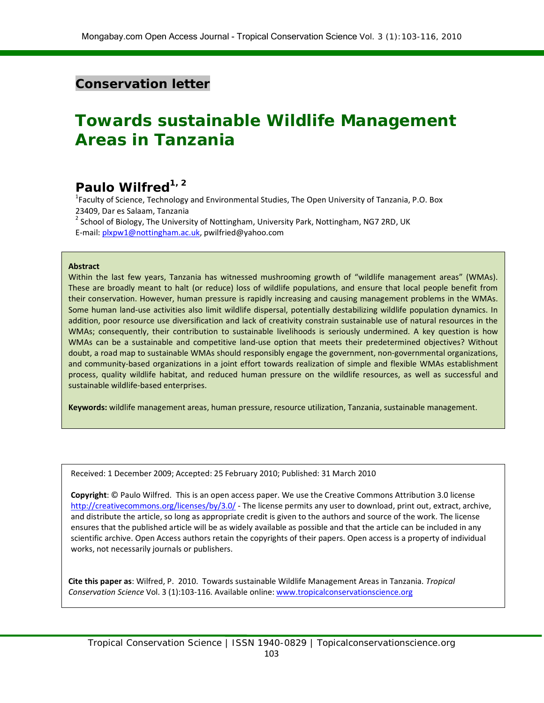### **Conservation letter**

# **Towards sustainable Wildlife Management Areas in Tanzania**

## **Paulo Wilfred1, 2**

<sup>1</sup> Faculty of Science, Technology and Environmental Studies, The Open University of Tanzania, P.O. Box 23409, Dar es Salaam, Tanzania  $<sup>2</sup>$  School of Biology, The University of Nottingham, University Park, Nottingham, NG7 2RD, UK</sup>

E-mail: [plxpw1@nottingham.ac.uk,](mailto:plxpw1@nottingham.ac.uk) pwilfried@yahoo.com

#### **Abstract**

Within the last few years, Tanzania has witnessed mushrooming growth of "wildlife management areas" (WMAs). These are broadly meant to halt (or reduce) loss of wildlife populations, and ensure that local people benefit from their conservation. However, human pressure is rapidly increasing and causing management problems in the WMAs. Some human land-use activities also limit wildlife dispersal, potentially destabilizing wildlife population dynamics. In addition, poor resource use diversification and lack of creativity constrain sustainable use of natural resources in the WMAs; consequently, their contribution to sustainable livelihoods is seriously undermined. A key question is how WMAs can be a sustainable and competitive land-use option that meets their predetermined objectives? Without doubt, a road map to sustainable WMAs should responsibly engage the government, non-governmental organizations, and community-based organizations in a joint effort towards realization of simple and flexible WMAs establishment process, quality wildlife habitat, and reduced human pressure on the wildlife resources, as well as successful and sustainable wildlife-based enterprises.

**Keywords:** wildlife management areas, human pressure, resource utilization, Tanzania, sustainable management.

Received: 1 December 2009; Accepted: 25 February 2010; Published: 31 March 2010

**Copyright**: © Paulo Wilfred. This is an open access paper. We use the Creative Commons Attribution 3.0 license <http://creativecommons.org/licenses/by/3.0/> - The license permits any user to download, print out, extract, archive, and distribute the article, so long as appropriate credit is given to the authors and source of the work. The license ensures that the published article will be as widely available as possible and that the article can be included in any scientific archive. Open Access authors retain the copyrights of their papers. Open access is a property of individual works, not necessarily journals or publishers.

**Cite this paper as**: Wilfred, P. 2010. Towards sustainable Wildlife Management Areas in Tanzania. *Tropical Conservation Science* Vol. 3 (1):103-116. Available online[: www.tropicalconservationscience.org](http://www.tropicalconservationscience.org/)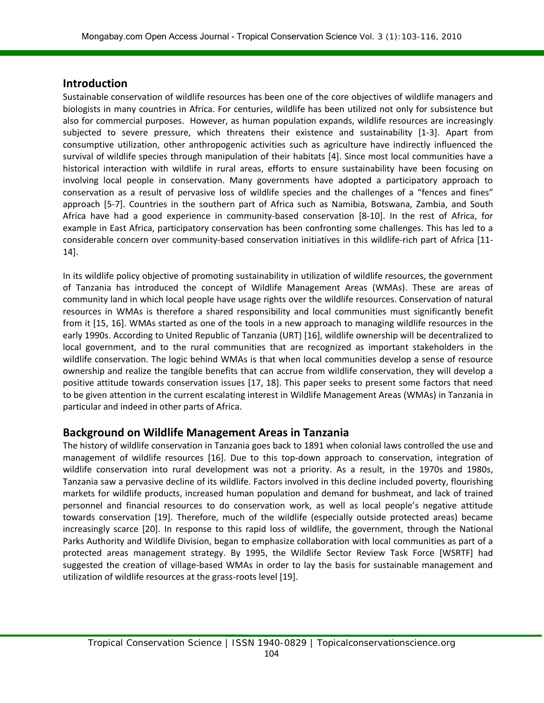#### **Introduction**

Sustainable conservation of wildlife resources has been one of the core objectives of wildlife managers and biologists in many countries in Africa. For centuries, wildlife has been utilized not only for subsistence but also for commercial purposes. However, as human population expands, wildlife resources are increasingly subjected to severe pressure, which threatens their existence and sustainability [1-3]. Apart from consumptive utilization, other anthropogenic activities such as agriculture have indirectly influenced the survival of wildlife species through manipulation of their habitats [4]. Since most local communities have a historical interaction with wildlife in rural areas, efforts to ensure sustainability have been focusing on involving local people in conservation. Many governments have adopted a participatory approach to conservation as a result of pervasive loss of wildlife species and the challenges of a "fences and fines" approach [5-7]. Countries in the southern part of Africa such as Namibia, Botswana, Zambia, and South Africa have had a good experience in community-based conservation [8-10]. In the rest of Africa, for example in East Africa, participatory conservation has been confronting some challenges. This has led to a considerable concern over community-based conservation initiatives in this wildlife-rich part of Africa [11- 14].

In its wildlife policy objective of promoting sustainability in utilization of wildlife resources, the government of Tanzania has introduced the concept of Wildlife Management Areas (WMAs). These are areas of community land in which local people have usage rights over the wildlife resources. Conservation of natural resources in WMAs is therefore a shared responsibility and local communities must significantly benefit from it [15, 16]. WMAs started as one of the tools in a new approach to managing wildlife resources in the early 1990s. According to United Republic of Tanzania (URT) [16], wildlife ownership will be decentralized to local government, and to the rural communities that are recognized as important stakeholders in the wildlife conservation. The logic behind WMAs is that when local communities develop a sense of resource ownership and realize the tangible benefits that can accrue from wildlife conservation, they will develop a positive attitude towards conservation issues [17, 18]. This paper seeks to present some factors that need to be given attention in the current escalating interest in Wildlife Management Areas (WMAs) in Tanzania in particular and indeed in other parts of Africa.

#### **Background on Wildlife Management Areas in Tanzania**

The history of wildlife conservation in Tanzania goes back to 1891 when colonial laws controlled the use and management of wildlife resources [16]. Due to this top-down approach to conservation, integration of wildlife conservation into rural development was not a priority. As a result, in the 1970s and 1980s, Tanzania saw a pervasive decline of its wildlife. Factors involved in this decline included poverty, flourishing markets for wildlife products, increased human population and demand for bushmeat, and lack of trained personnel and financial resources to do conservation work, as well as local people's negative attitude towards conservation [19]. Therefore, much of the wildlife (especially outside protected areas) became increasingly scarce [20]. In response to this rapid loss of wildlife, the government, through the National Parks Authority and Wildlife Division, began to emphasize collaboration with local communities as part of a protected areas management strategy. By 1995, the Wildlife Sector Review Task Force [WSRTF] had suggested the creation of village-based WMAs in order to lay the basis for sustainable management and utilization of wildlife resources at the grass-roots level [19].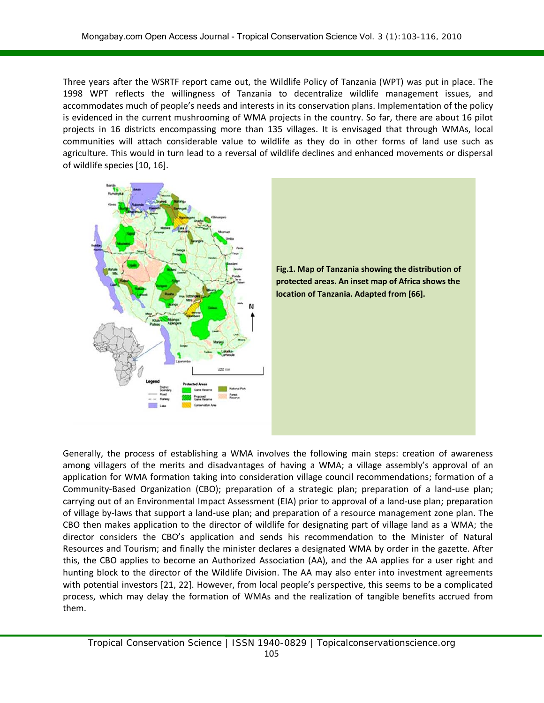Three years after the WSRTF report came out, the Wildlife Policy of Tanzania (WPT) was put in place. The 1998 WPT reflects the willingness of Tanzania to decentralize wildlife management issues, and accommodates much of people's needs and interests in its conservation plans. Implementation of the policy is evidenced in the current mushrooming of WMA projects in the country. So far, there are about 16 pilot projects in 16 districts encompassing more than 135 villages. It is envisaged that through WMAs, local communities will attach considerable value to wildlife as they do in other forms of land use such as agriculture. This would in turn lead to a reversal of wildlife declines and enhanced movements or dispersal of wildlife species [10, 16].





Generally, the process of establishing a WMA involves the following main steps: creation of awareness among villagers of the merits and disadvantages of having a WMA; a village assembly's approval of an application for WMA formation taking into consideration village council recommendations; formation of a Community-Based Organization (CBO); preparation of a strategic plan; preparation of a land-use plan; carrying out of an Environmental Impact Assessment (EIA) prior to approval of a land-use plan; preparation of village by-laws that support a land-use plan; and preparation of a resource management zone plan. The CBO then makes application to the director of wildlife for designating part of village land as a WMA; the director considers the CBO's application and sends his recommendation to the Minister of Natural Resources and Tourism; and finally the minister declares a designated WMA by order in the gazette. After this, the CBO applies to become an Authorized Association (AA), and the AA applies for a user right and hunting block to the director of the Wildlife Division. The AA may also enter into investment agreements with potential investors [21, 22]. However, from local people's perspective, this seems to be a complicated process, which may delay the formation of WMAs and the realization of tangible benefits accrued from them.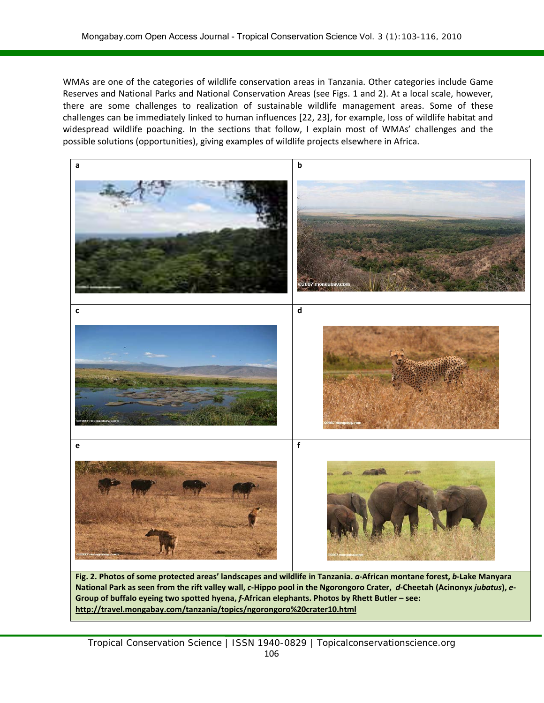WMAs are one of the categories of wildlife conservation areas in Tanzania. Other categories include Game Reserves and National Parks and National Conservation Areas (see Figs. 1 and 2). At a local scale, however, there are some challenges to realization of sustainable wildlife management areas. Some of these challenges can be immediately linked to human influences [22, 23], for example, loss of wildlife habitat and widespread wildlife poaching. In the sections that follow, I explain most of WMAs' challenges and the possible solutions (opportunities), giving examples of wildlife projects elsewhere in Africa.



**National Park as seen from the rift valley wall,** *c***-Hippo pool in the Ngorongoro Crater,** *d***-Cheetah (Acinonyx** *jubatus***),** *e***-Group of buffalo eyeing two spotted hyena,** *f***-African elephants. Photos by Rhett Butler – see: http://travel.mongabay.com/tanzania/topics/ngorongoro%20crater10.html**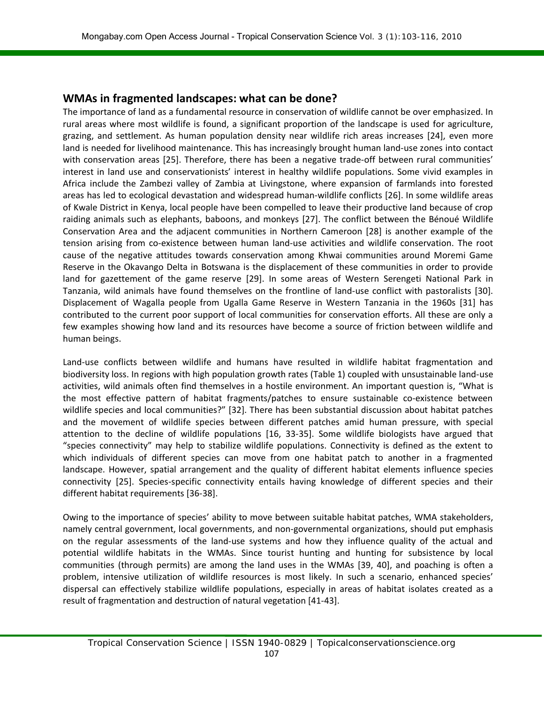#### **WMAs in fragmented landscapes: what can be done?**

The importance of land as a fundamental resource in conservation of wildlife cannot be over emphasized. In rural areas where most wildlife is found, a significant proportion of the landscape is used for agriculture, grazing, and settlement. As human population density near wildlife rich areas increases [24], even more land is needed for livelihood maintenance. This has increasingly brought human land-use zones into contact with conservation areas [25]. Therefore, there has been a negative trade-off between rural communities' interest in land use and conservationists' interest in healthy wildlife populations. Some vivid examples in Africa include the Zambezi valley of Zambia at Livingstone, where expansion of farmlands into forested areas has led to ecological devastation and widespread human-wildlife conflicts [26]. In some wildlife areas of Kwale District in Kenya, local people have been compelled to leave their productive land because of crop raiding animals such as elephants, baboons, and monkeys [27]. The conflict between the Bénoué Wildlife Conservation Area and the adjacent communities in Northern Cameroon [28] is another example of the tension arising from co-existence between human land-use activities and wildlife conservation. The root cause of the negative attitudes towards conservation among Khwai communities around Moremi Game Reserve in the Okavango Delta in Botswana is the displacement of these communities in order to provide land for gazettement of the game reserve [29]. In some areas of Western Serengeti National Park in Tanzania, wild animals have found themselves on the frontline of land-use conflict with pastoralists [30]. Displacement of Wagalla people from Ugalla Game Reserve in Western Tanzania in the 1960s [31] has contributed to the current poor support of local communities for conservation efforts. All these are only a few examples showing how land and its resources have become a source of friction between wildlife and human beings.

Land-use conflicts between wildlife and humans have resulted in wildlife habitat fragmentation and biodiversity loss. In regions with high population growth rates (Table 1) coupled with unsustainable land-use activities, wild animals often find themselves in a hostile environment. An important question is, "What is the most effective pattern of habitat fragments/patches to ensure sustainable co-existence between wildlife species and local communities?" [32]. There has been substantial discussion about habitat patches and the movement of wildlife species between different patches amid human pressure, with special attention to the decline of wildlife populations [16, 33-35]. Some wildlife biologists have argued that "species connectivity" may help to stabilize wildlife populations. Connectivity is defined as the extent to which individuals of different species can move from one habitat patch to another in a fragmented landscape. However, spatial arrangement and the quality of different habitat elements influence species connectivity [25]. Species-specific connectivity entails having knowledge of different species and their different habitat requirements [36-38].

Owing to the importance of species' ability to move between suitable habitat patches, WMA stakeholders, namely central government, local governments, and non-governmental organizations, should put emphasis on the regular assessments of the land-use systems and how they influence quality of the actual and potential wildlife habitats in the WMAs. Since tourist hunting and hunting for subsistence by local communities (through permits) are among the land uses in the WMAs [39, 40], and poaching is often a problem, intensive utilization of wildlife resources is most likely. In such a scenario, enhanced species' dispersal can effectively stabilize wildlife populations, especially in areas of habitat isolates created as a result of fragmentation and destruction of natural vegetation [41-43].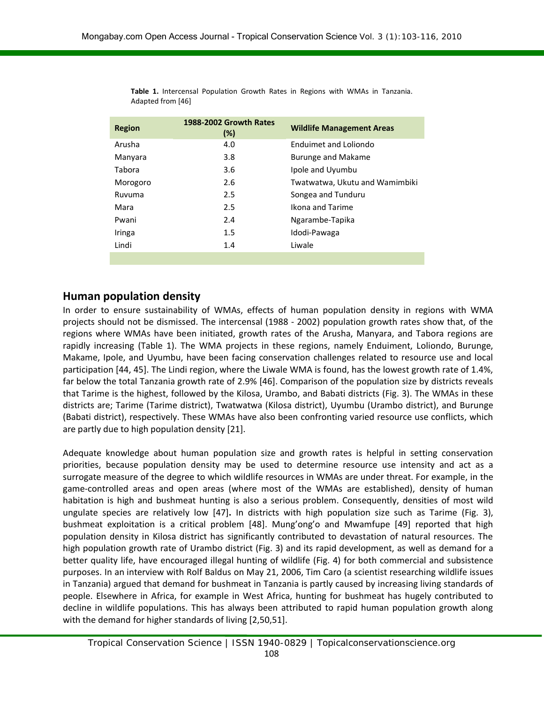| <b>Region</b> | 1988-2002 Growth Rates<br>(%) | <b>Wildlife Management Areas</b> |
|---------------|-------------------------------|----------------------------------|
| Arusha        | 4.0                           | Enduimet and Loliondo            |
| Manyara       | 3.8                           | Burunge and Makame               |
| Tabora        | 3.6                           | Ipole and Uyumbu                 |
| Morogoro      | 2.6                           | Twatwatwa, Ukutu and Wamimbiki   |
| Ruvuma        | 2.5                           | Songea and Tunduru               |
| Mara          | 2.5                           | Ikona and Tarime                 |
| Pwani         | 2.4                           | Ngarambe-Tapika                  |
| Iringa        | 1.5                           | Idodi-Pawaga                     |
| Lindi         | 1.4                           | Liwale                           |
|               |                               |                                  |

**Table 1.** Intercensal Population Growth Rates in Regions with WMAs in Tanzania. Adapted from [46]

#### **Human population density**

In order to ensure sustainability of WMAs, effects of human population density in regions with WMA projects should not be dismissed. The intercensal (1988 - 2002) population growth rates show that, of the regions where WMAs have been initiated, growth rates of the Arusha, Manyara, and Tabora regions are rapidly increasing (Table 1). The WMA projects in these regions, namely Enduiment, Loliondo, Burunge, Makame, Ipole, and Uyumbu, have been facing conservation challenges related to resource use and local participation [44, 45]. The Lindi region, where the Liwale WMA is found, has the lowest growth rate of 1.4%, far below the total Tanzania growth rate of 2.9% [46]. Comparison of the population size by districts reveals that Tarime is the highest, followed by the Kilosa, Urambo, and Babati districts (Fig. 3). The WMAs in these districts are; Tarime (Tarime district), Twatwatwa (Kilosa district), Uyumbu (Urambo district), and Burunge (Babati district), respectively. These WMAs have also been confronting varied resource use conflicts, which are partly due to high population density [21].

Adequate knowledge about human population size and growth rates is helpful in setting conservation priorities, because population density may be used to determine resource use intensity and act as a surrogate measure of the degree to which wildlife resources in WMAs are under threat. For example, in the game-controlled areas and open areas (where most of the WMAs are established), density of human habitation is high and bushmeat hunting is also a serious problem. Consequently, densities of most wild ungulate species are relatively low [47]**.** In districts with high population size such as Tarime (Fig. 3), bushmeat exploitation is a critical problem [48]. Mung'ong'o and Mwamfupe [49] reported that high population density in Kilosa district has significantly contributed to devastation of natural resources. The high population growth rate of Urambo district (Fig. 3) and its rapid development, as well as demand for a better quality life, have encouraged illegal hunting of wildlife (Fig. 4) for both commercial and subsistence purposes. In an interview with Rolf Baldus on May 21, 2006, Tim Caro (a scientist researching wildlife issues in Tanzania) argued that demand for bushmeat in Tanzania is partly caused by increasing living standards of people. Elsewhere in Africa, for example in West Africa, hunting for bushmeat has hugely contributed to decline in wildlife populations. This has always been attributed to rapid human population growth along with the demand for higher standards of living [2,50,51].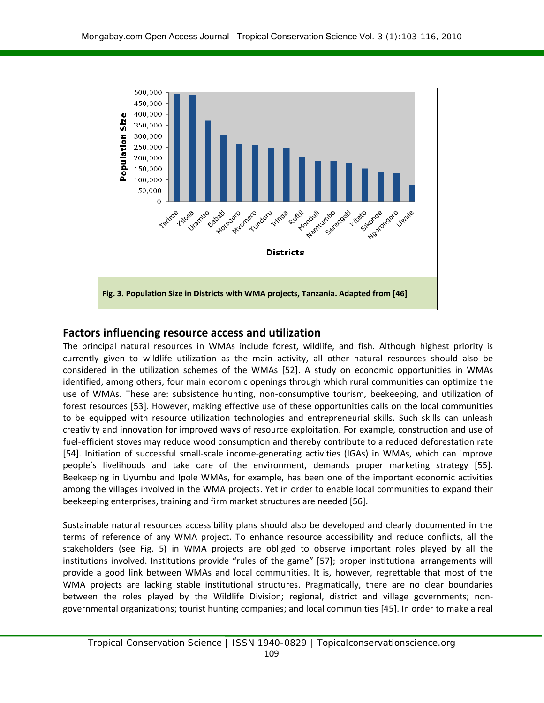

#### **Factors influencing resource access and utilization**

The principal natural resources in WMAs include forest, wildlife, and fish. Although highest priority is currently given to wildlife utilization as the main activity, all other natural resources should also be considered in the utilization schemes of the WMAs [52]. A study on economic opportunities in WMAs identified, among others, four main economic openings through which rural communities can optimize the use of WMAs. These are: subsistence hunting, non-consumptive tourism, beekeeping, and utilization of forest resources [53]. However, making effective use of these opportunities calls on the local communities to be equipped with resource utilization technologies and entrepreneurial skills. Such skills can unleash creativity and innovation for improved ways of resource exploitation. For example, construction and use of fuel-efficient stoves may reduce wood consumption and thereby contribute to a reduced deforestation rate [54]. Initiation of successful small-scale income-generating activities (IGAs) in WMAs, which can improve people's livelihoods and take care of the environment, demands proper marketing strategy [55]. Beekeeping in Uyumbu and Ipole WMAs, for example, has been one of the important economic activities among the villages involved in the WMA projects. Yet in order to enable local communities to expand their beekeeping enterprises, training and firm market structures are needed [56].

Sustainable natural resources accessibility plans should also be developed and clearly documented in the terms of reference of any WMA project. To enhance resource accessibility and reduce conflicts, all the stakeholders (see Fig. 5) in WMA projects are obliged to observe important roles played by all the institutions involved. Institutions provide "rules of the game" [57]; proper institutional arrangements will provide a good link between WMAs and local communities. It is, however, regrettable that most of the WMA projects are lacking stable institutional structures. Pragmatically, there are no clear boundaries between the roles played by the Wildlife Division; regional, district and village governments; nongovernmental organizations; tourist hunting companies; and local communities [45]. In order to make a real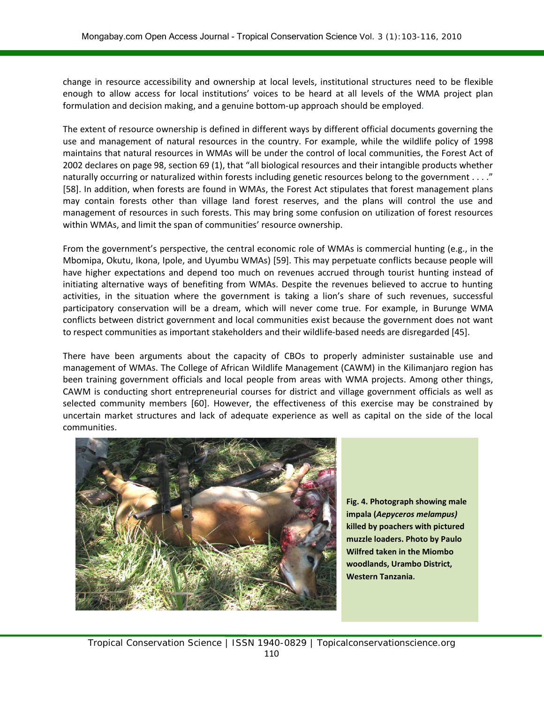change in resource accessibility and ownership at local levels, institutional structures need to be flexible enough to allow access for local institutions' voices to be heard at all levels of the WMA project plan formulation and decision making, and a genuine bottom-up approach should be employed.

The extent of resource ownership is defined in different ways by different official documents governing the use and management of natural resources in the country. For example, while the wildlife policy of 1998 maintains that natural resources in WMAs will be under the control of local communities, the Forest Act of 2002 declares on page 98, section 69 (1), that "all biological resources and their intangible products whether naturally occurring or naturalized within forests including genetic resources belong to the government . . . ." [58]. In addition, when forests are found in WMAs, the Forest Act stipulates that forest management plans may contain forests other than village land forest reserves, and the plans will control the use and management of resources in such forests. This may bring some confusion on utilization of forest resources within WMAs, and limit the span of communities' resource ownership.

From the government's perspective, the central economic role of WMAs is commercial hunting (e.g., in the Mbomipa, Okutu, Ikona, Ipole, and Uyumbu WMAs) [59]. This may perpetuate conflicts because people will have higher expectations and depend too much on revenues accrued through tourist hunting instead of initiating alternative ways of benefiting from WMAs. Despite the revenues believed to accrue to hunting activities, in the situation where the government is taking a lion's share of such revenues, successful participatory conservation will be a dream, which will never come true. For example, in Burunge WMA conflicts between district government and local communities exist because the government does not want to respect communities as important stakeholders and their wildlife-based needs are disregarded [45].

There have been arguments about the capacity of CBOs to properly administer sustainable use and management of WMAs. The College of African Wildlife Management (CAWM) in the Kilimanjaro region has been training government officials and local people from areas with WMA projects. Among other things, CAWM is conducting short entrepreneurial courses for district and village government officials as well as selected community members [60]. However, the effectiveness of this exercise may be constrained by uncertain market structures and lack of adequate experience as well as capital on the side of the local communities.



**Fig. 4. Photograph showing male impala (***Aepyceros melampus)* **killed by poachers with pictured muzzle loaders. Photo by Paulo Wilfred taken in the Miombo woodlands, Urambo District, Western Tanzania.**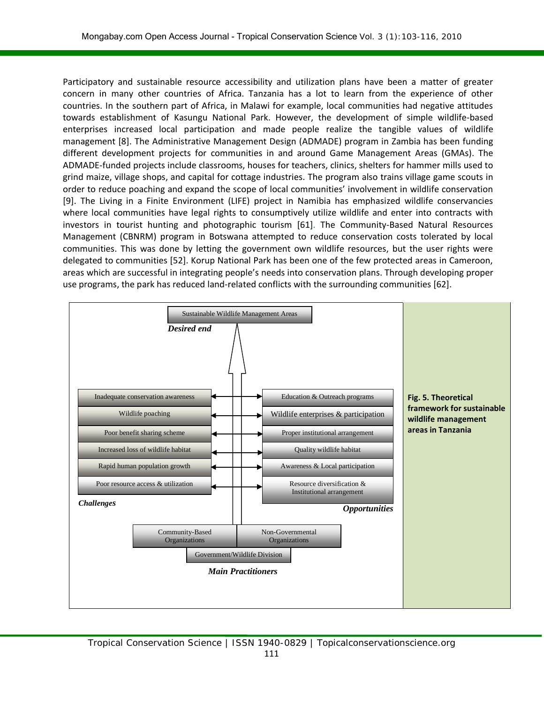Participatory and sustainable resource accessibility and utilization plans have been a matter of greater concern in many other countries of Africa. Tanzania has a lot to learn from the experience of other countries. In the southern part of Africa, in Malawi for example, local communities had negative attitudes towards establishment of Kasungu National Park. However, the development of simple wildlife-based enterprises increased local participation and made people realize the tangible values of wildlife management [8]. The Administrative Management Design (ADMADE) program in Zambia has been funding different development projects for communities in and around Game Management Areas (GMAs). The ADMADE-funded projects include classrooms, houses for teachers, clinics, shelters for hammer mills used to grind maize, village shops, and capital for cottage industries. The program also trains village game scouts in order to reduce poaching and expand the scope of local communities' involvement in wildlife conservation [9]. The Living in a Finite Environment (LIFE) project in Namibia has emphasized wildlife conservancies where local communities have legal rights to consumptively utilize wildlife and enter into contracts with investors in tourist hunting and photographic tourism [61]. The Community-Based Natural Resources Management (CBNRM) program in Botswana attempted to reduce conservation costs tolerated by local communities. This was done by letting the government own wildlife resources, but the user rights were delegated to communities [52]. Korup National Park has been one of the few protected areas in Cameroon, areas which are successful in integrating people's needs into conservation plans. Through developing proper use programs, the park has reduced land-related conflicts with the surrounding communities [62].

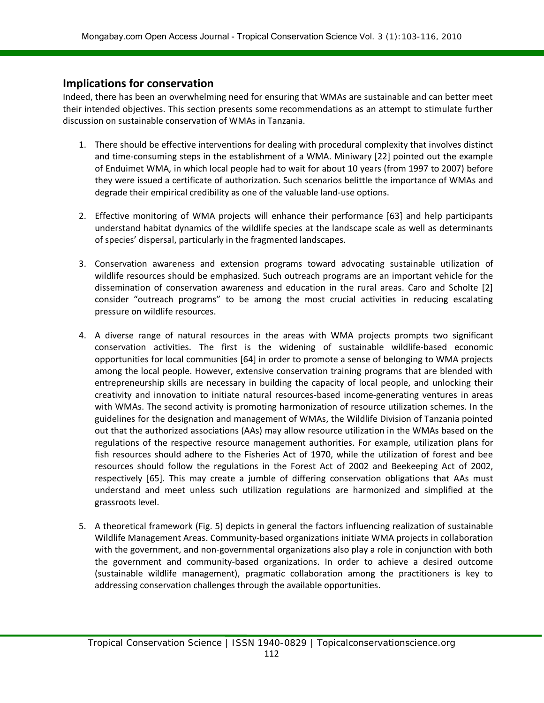#### **Implications for conservation**

Indeed, there has been an overwhelming need for ensuring that WMAs are sustainable and can better meet their intended objectives. This section presents some recommendations as an attempt to stimulate further discussion on sustainable conservation of WMAs in Tanzania.

- 1. There should be effective interventions for dealing with procedural complexity that involves distinct and time-consuming steps in the establishment of a WMA. Miniwary [22] pointed out the example of Enduimet WMA, in which local people had to wait for about 10 years (from 1997 to 2007) before they were issued a certificate of authorization. Such scenarios belittle the importance of WMAs and degrade their empirical credibility as one of the valuable land-use options.
- 2. Effective monitoring of WMA projects will enhance their performance [63] and help participants understand habitat dynamics of the wildlife species at the landscape scale as well as determinants of species' dispersal, particularly in the fragmented landscapes.
- 3. Conservation awareness and extension programs toward advocating sustainable utilization of wildlife resources should be emphasized. Such outreach programs are an important vehicle for the dissemination of conservation awareness and education in the rural areas. Caro and Scholte [2] consider "outreach programs" to be among the most crucial activities in reducing escalating pressure on wildlife resources.
- 4. A diverse range of natural resources in the areas with WMA projects prompts two significant conservation activities. The first is the widening of sustainable wildlife-based economic opportunities for local communities [64] in order to promote a sense of belonging to WMA projects among the local people. However, extensive conservation training programs that are blended with entrepreneurship skills are necessary in building the capacity of local people, and unlocking their creativity and innovation to initiate natural resources-based income-generating ventures in areas with WMAs. The second activity is promoting harmonization of resource utilization schemes. In the guidelines for the designation and management of WMAs, the Wildlife Division of Tanzania pointed out that the authorized associations (AAs) may allow resource utilization in the WMAs based on the regulations of the respective resource management authorities. For example, utilization plans for fish resources should adhere to the Fisheries Act of 1970, while the utilization of forest and bee resources should follow the regulations in the Forest Act of 2002 and Beekeeping Act of 2002, respectively [65]. This may create a jumble of differing conservation obligations that AAs must understand and meet unless such utilization regulations are harmonized and simplified at the grassroots level.
- 5. A theoretical framework (Fig. 5) depicts in general the factors influencing realization of sustainable Wildlife Management Areas. Community-based organizations initiate WMA projects in collaboration with the government, and non-governmental organizations also play a role in conjunction with both the government and community-based organizations. In order to achieve a desired outcome (sustainable wildlife management), pragmatic collaboration among the practitioners is key to addressing conservation challenges through the available opportunities.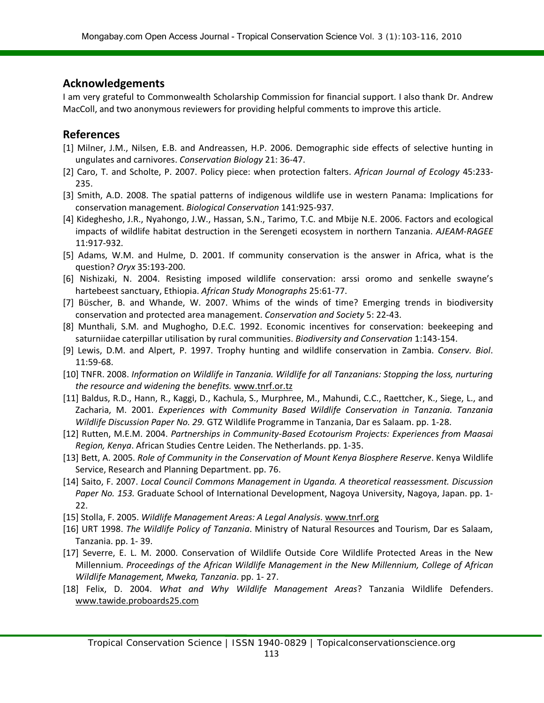#### **Acknowledgements**

I am very grateful to Commonwealth Scholarship Commission for financial support. I also thank Dr. Andrew MacColl, and two anonymous reviewers for providing helpful comments to improve this article.

#### **References**

- [1] Milner, J.M., Nilsen, E.B. and Andreassen, H.P. 2006. Demographic side effects of selective hunting in ungulates and carnivores. *Conservation Biology* 21: 36-47.
- [2] Caro, T. and Scholte, P. 2007. Policy piece: when protection falters. *African Journal of Ecology* 45:233- 235.
- [3] Smith, A.D. 2008. The spatial patterns of indigenous wildlife use in western Panama: Implications for conservation management. *Biological Conservation* 141:925-937*.*
- [4] Kideghesho, J.R., Nyahongo, J.W., Hassan, S.N., Tarimo, T.C. and Mbije N.E. 2006. Factors and ecological impacts of wildlife habitat destruction in the Serengeti ecosystem in northern Tanzania. *AJEAM-RAGEE* 11:917-932.
- [5] Adams, W.M. and Hulme, D. 2001. If community conservation is the answer in Africa, what is the question? *Oryx* 35:193-200.
- [6] Nishizaki, N. 2004. Resisting imposed wildlife conservation: arssi oromo and senkelle swayne's hartebeest sanctuary, Ethiopia. *African Study Monographs* 25:61-77.
- [7] Bϋscher, B. and Whande, W. 2007. Whims of the winds of time? Emerging trends in biodiversity conservation and protected area management. *Conservation and Society* 5: 22-43.
- [8] Munthali, S.M. and Mughogho, D.E.C. 1992. Economic incentives for conservation: beekeeping and saturniidae caterpillar utilisation by rural communities. *Biodiversity and Conservation* 1:143-154.
- [9] Lewis, D.M. and Alpert, P. 1997. Trophy hunting and wildlife conservation in Zambia. *Conserv. Biol*. 11:59-68.
- [10] TNFR. 2008. *Information on Wildlife in Tanzania. Wildlife for all Tanzanians: Stopping the loss, nurturing the resource and widening the benefits.* [www.tnrf.or.tz](http://www.tnrf.or.tz/)
- [11] Baldus, R.D., Hann, R., Kaggi, D., Kachula, S., Murphree, M., Mahundi, C.C., Raettcher, K., Siege, L., and Zacharia, M. 2001. *Experiences with Community Based Wildlife Conservation in Tanzania. Tanzania Wildlife Discussion Paper No. 29.* GTZ Wildlife Programme in Tanzania, Dar es Salaam. pp. 1-28.
- [12] Rutten, M.E.M. 2004. *Partnerships in Community-Based Ecotourism Projects: Experiences from Maasai Region, Kenya*. African Studies Centre Leiden. The Netherlands. pp. 1-35.
- [13] Bett, A. 2005. *Role of Community in the Conservation of Mount Kenya Biosphere Reserve*. Kenya Wildlife Service, Research and Planning Department. pp. 76.
- [14] Saito, F. 2007. *Local Council Commons Management in Uganda. A theoretical reassessment. Discussion Paper No. 153.* Graduate School of International Development, Nagoya University, Nagoya, Japan. pp. 1- 22.
- [15] Stolla, F. 2005. *Wildlife Management Areas: A Legal Analysis*. [www.tnrf.org](http://www.tnrf.org/)
- [16] URT 1998. *The Wildlife Policy of Tanzania*. Ministry of Natural Resources and Tourism, Dar es Salaam, Tanzania. pp. 1- 39.
- [17] Severre, E. L. M. 2000. Conservation of Wildlife Outside Core Wildlife Protected Areas in the New Millennium. *Proceedings of the African Wildlife Management in the New Millennium, College of African Wildlife Management, Mweka, Tanzania*. pp. 1- 27.
- [18] Felix, D. 2004. *What and Why Wildlife Management Areas*? Tanzania Wildlife Defenders. [www.tawide.proboards25.com](http://www.tawide.proboards25.com/)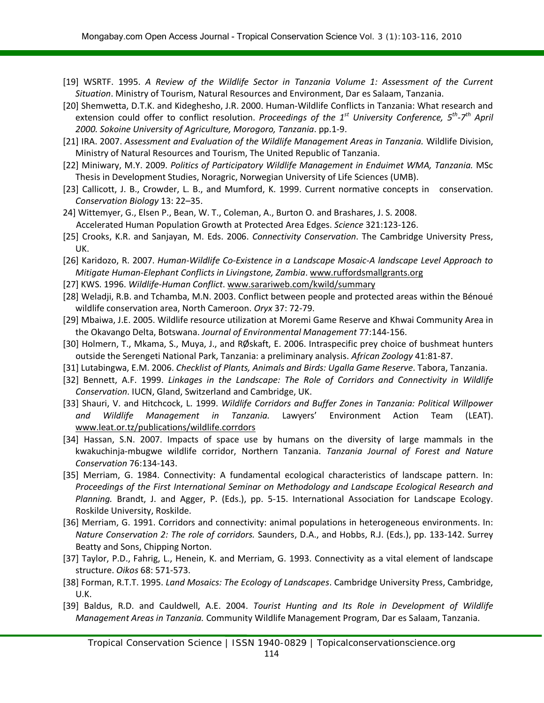- [19] WSRTF. 1995. *A Review of the Wildlife Sector in Tanzania Volume 1: Assessment of the Current Situation*. Ministry of Tourism, Natural Resources and Environment, Dar es Salaam, Tanzania.
- [20] Shemwetta, D.T.K. and Kideghesho, J.R. 2000. Human-Wildlife Conflicts in Tanzania: What research and extension could offer to conflict resolution. *Proceedings of the 1st University Conference, 5th-7th April 2000. Sokoine University of Agriculture, Morogoro, Tanzania*. pp.1-9.
- [21] IRA. 2007. *Assessment and Evaluation of the Wildlife Management Areas in Tanzania.* Wildlife Division, Ministry of Natural Resources and Tourism, The United Republic of Tanzania.
- [22] Miniwary, M.Y. 2009. *Politics of Participatory Wildlife Management in Enduimet WMA, Tanzania.* MSc Thesis in Development Studies, Noragric, Norwegian University of Life Sciences (UMB).
- [23] Callicott, J. B., Crowder, L. B., and Mumford, K. 1999. Current normative concepts in conservation. *Conservation Biology* 13: 22–35.
- 24] Wittemyer, G., Elsen P., Bean, W. T., Coleman, A., Burton O. and Brashares, J. S. 2008. Accelerated Human Population Growth at Protected Area Edges. *Science* 321:123-126.
- [25] Crooks, K.R. and Sanjayan, M. Eds. 2006. *Connectivity Conservation*. The Cambridge University Press, UK.
- [26] Karidozo, R. 2007. *Human-Wildlife Co-Existence in a Landscape Mosaic-A landscape Level Approach to Mitigate Human-Elephant Conflicts in Livingstone, Zambia*. [www.ruffordsmallgrants.org](http://www.ruffordsmallgrants.org/)
- [27] KWS. 1996. *Wildlife-Human Conflict*. [www.sarariweb.com/kwild/summary](http://www.sarariweb.com/kwild/summary)
- [28] Weladji, R.B. and Tchamba, M.N. 2003. Conflict between people and protected areas within the Bénoué wildlife conservation area, North Cameroon. *Oryx* 37: 72-79.
- [29] Mbaiwa, J.E. 2005. Wildlife resource utilization at Moremi Game Reserve and Khwai Community Area in the Okavango Delta, Botswana. *Journal of Environmental Management* 77:144-156.
- [30] Holmern, T., Mkama, S., Muya, J., and RØskaft, E. 2006. Intraspecific prey choice of bushmeat hunters outside the Serengeti National Park, Tanzania: a preliminary analysis. *African Zoology* 41:81-87.
- [31] Lutabingwa, E.M. 2006. *Checklist of Plants, Animals and Birds: Ugalla Game Reserve*. Tabora, Tanzania.
- [32] Bennett, A.F. 1999. *Linkages in the Landscape: The Role of Corridors and Connectivity in Wildlife Conservation*. IUCN, Gland, Switzerland and Cambridge, UK.
- [33] Shauri, V. and Hitchcock, L. 1999. *Wildlife Corridors and Buffer Zones in Tanzania: Political Willpower and Wildlife Management in Tanzania.* Lawyers' Environment Action Team (LEAT). [www.leat.or.tz/publications/wildlife.corrdors](http://www.leat.or.tz/publications/wildlife.corrdors)
- [34] Hassan, S.N. 2007. Impacts of space use by humans on the diversity of large mammals in the kwakuchinja-mbugwe wildlife corridor, Northern Tanzania. *Tanzania Journal of Forest and Nature Conservation* 76:134-143.
- [35] Merriam, G. 1984. Connectivity: A fundamental ecological characteristics of landscape pattern. In: *Proceedings of the First International Seminar on Methodology and Landscape Ecological Research and Planning.* Brandt, J. and Agger, P. (Eds.), pp. 5-15. International Association for Landscape Ecology. Roskilde University, Roskilde.
- [36] Merriam, G. 1991. Corridors and connectivity: animal populations in heterogeneous environments. In: *Nature Conservation 2: The role of corridors.* Saunders, D.A., and Hobbs, R.J. (Eds.), pp. 133-142. Surrey Beatty and Sons, Chipping Norton.
- [37] Taylor, P.D., Fahrig, L., Henein, K. and Merriam, G. 1993. Connectivity as a vital element of landscape structure. *Oikos* 68: 571-573.
- [38] Forman, R.T.T. 1995. *Land Mosaics: The Ecology of Landscapes*. Cambridge University Press, Cambridge, U.K.
- [39] Baldus, R.D. and Cauldwell, A.E. 2004. *Tourist Hunting and Its Role in Development of Wildlife Management Areas in Tanzania.* Community Wildlife Management Program, Dar es Salaam, Tanzania.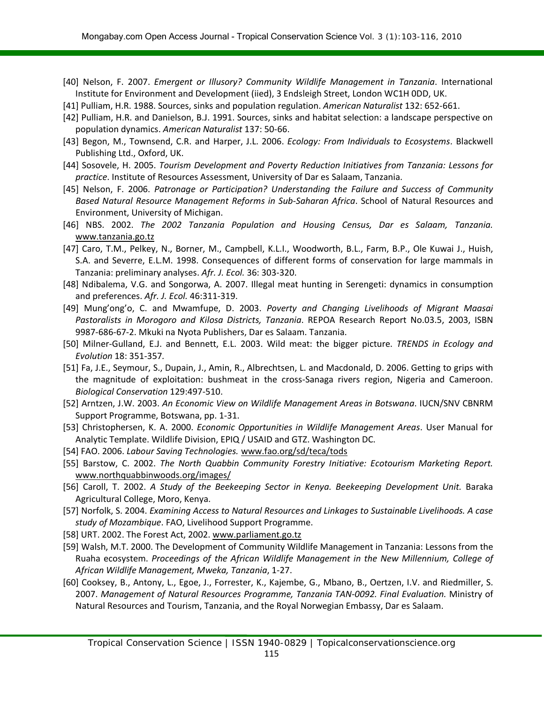- [40] Nelson, F. 2007. *Emergent or Illusory? Community Wildlife Management in Tanzania*. International Institute for Environment and Development (iied), 3 Endsleigh Street, London WC1H 0DD, UK.
- [41] Pulliam, H.R. 1988. Sources, sinks and population regulation. *American Naturalist* 132: 652-661.
- [42] Pulliam, H.R. and Danielson, B.J. 1991. Sources, sinks and habitat selection: a landscape perspective on population dynamics. *American Naturalist* 137: 50-66.
- [43] Begon, M., Townsend, C.R. and Harper, J.L. 2006. *Ecology: From Individuals to Ecosystems*. Blackwell Publishing Ltd., Oxford, UK.
- [44] Sosovele, H. 2005. *Tourism Development and Poverty Reduction Initiatives from Tanzania: Lessons for practice*. Institute of Resources Assessment, University of Dar es Salaam, Tanzania.
- [45] Nelson, F. 2006. *Patronage or Participation? Understanding the Failure and Success of Community Based Natural Resource Management Reforms in Sub-Saharan Africa*. School of Natural Resources and Environment, University of Michigan.
- [46] NBS. 2002. *The 2002 Tanzania Population and Housing Census, Dar es Salaam, Tanzania.* [www.tanzania.go.tz](http://www.tanzania.go.tz/)
- [47] Caro, T.M., Pelkey, N., Borner, M., Campbell, K.L.I., Woodworth, B.L., Farm, B.P., Ole Kuwai J., Huish, S.A. and Severre, E.L.M. 1998. Consequences of different forms of conservation for large mammals in Tanzania: preliminary analyses. *Afr. J. Ecol.* 36: 303-320.
- [48] Ndibalema, V.G. and Songorwa, A. 2007. Illegal meat hunting in Serengeti: dynamics in consumption and preferences. *Afr. J. Ecol.* 46:311-319.
- [49] Mung'ong'o, C. and Mwamfupe, D. 2003. *Poverty and Changing Livelihoods of Migrant Maasai Pastoralists in Morogoro and Kilosa Districts, Tanzania*. REPOA Research Report No.03.5, 2003, ISBN 9987-686-67-2. Mkuki na Nyota Publishers, Dar es Salaam. Tanzania.
- [50] Milner-Gulland, E.J. and Bennett, E.L. 2003. Wild meat: the bigger picture. *TRENDS in Ecology and Evolution* 18: 351-357*.*
- [51] Fa, J.E., Seymour, S., Dupain, J., Amin, R., Albrechtsen, L. and Macdonald, D. 2006. Getting to grips with the magnitude of exploitation: bushmeat in the cross-Sanaga rivers region, Nigeria and Cameroon. *Biological Conservation* 129:497-510.
- [52] Arntzen, J.W. 2003. *An Economic View on Wildlife Management Areas in Botswana*. IUCN/SNV CBNRM Support Programme, Botswana, pp. 1-31.
- [53] Christophersen, K. A. 2000. *Economic Opportunities in Wildlife Management Areas*. User Manual for Analytic Template. Wildlife Division, EPIQ / USAID and GTZ. Washington DC.
- [54] FAO. 2006. *Labour Saving Technologies.* [www.fao.org/sd/teca/tods](http://www.fao.org/sd/teca/tods)
- [55] Barstow, C. 2002. *The North Quabbin Community Forestry Initiative: Ecotourism Marketing Report.* [www.northquabbinwoods.org/images/](http://www.northquabbinwoods.org/images/)
- [56] Caroll, T. 2002. *A Study of the Beekeeping Sector in Kenya. Beekeeping Development Unit.* Baraka Agricultural College, Moro, Kenya.
- [57] Norfolk, S. 2004. *Examining Access to Natural Resources and Linkages to Sustainable Livelihoods. A case study of Mozambique*. FAO, Livelihood Support Programme.
- [58] URT. 2002. The Forest Act, 2002. [www.parliament.go.tz](http://www.parliament.go.tz/)
- [59] Walsh, M.T. 2000. The Development of Community Wildlife Management in Tanzania: Lessons from the Ruaha ecosystem. *Proceedings of the African Wildlife Management in the New Millennium, College of African Wildlife Management, Mweka, Tanzania*, 1-27.
- [60] Cooksey, B., Antony, L., Egoe, J., Forrester, K., Kajembe, G., Mbano, B., Oertzen, I.V. and Riedmiller, S. 2007. *Management of Natural Resources Programme, Tanzania TAN-0092. Final Evaluation.* Ministry of Natural Resources and Tourism, Tanzania, and the Royal Norwegian Embassy, Dar es Salaam.